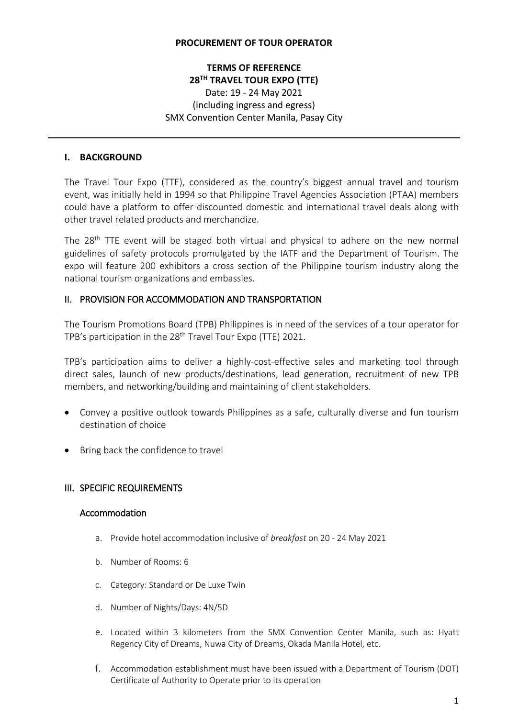#### **PROCUREMENT OF TOUR OPERATOR**

# **TERMS OF REFERENCE 28TH TRAVEL TOUR EXPO (TTE)**  Date: 19 - 24 May 2021 (including ingress and egress) SMX Convention Center Manila, Pasay City

#### **I. BACKGROUND**

The Travel Tour Expo (TTE), considered as the country's biggest annual travel and tourism event, was initially held in 1994 so that Philippine Travel Agencies Association (PTAA) members could have a platform to offer discounted domestic and international travel deals along with other travel related products and merchandize.

The  $28<sup>th</sup>$  TTE event will be staged both virtual and physical to adhere on the new normal guidelines of safety protocols promulgated by the IATF and the Department of Tourism. The expo will feature 200 exhibitors a cross section of the Philippine tourism industry along the national tourism organizations and embassies.

### II. PROVISION FOR ACCOMMODATION AND TRANSPORTATION

The Tourism Promotions Board (TPB) Philippines is in need of the services of a tour operator for TPB's participation in the 28<sup>th</sup> Travel Tour Expo (TTE) 2021.

TPB's participation aims to deliver a highly-cost-effective sales and marketing tool through direct sales, launch of new products/destinations, lead generation, recruitment of new TPB members, and networking/building and maintaining of client stakeholders.

- Convey a positive outlook towards Philippines as a safe, culturally diverse and fun tourism destination of choice
- Bring back the confidence to travel

## III. SPECIFIC REQUIREMENTS

#### Accommodation

- a. Provide hotel accommodation inclusive of *breakfast* on 20 24 May 2021
- b. Number of Rooms: 6
- c. Category: Standard or De Luxe Twin
- d. Number of Nights/Days: 4N/5D
- e. Located within 3 kilometers from the SMX Convention Center Manila, such as: Hyatt Regency City of Dreams, Nuwa City of Dreams, Okada Manila Hotel, etc.
- f. Accommodation establishment must have been issued with a Department of Tourism (DOT) Certificate of Authority to Operate prior to its operation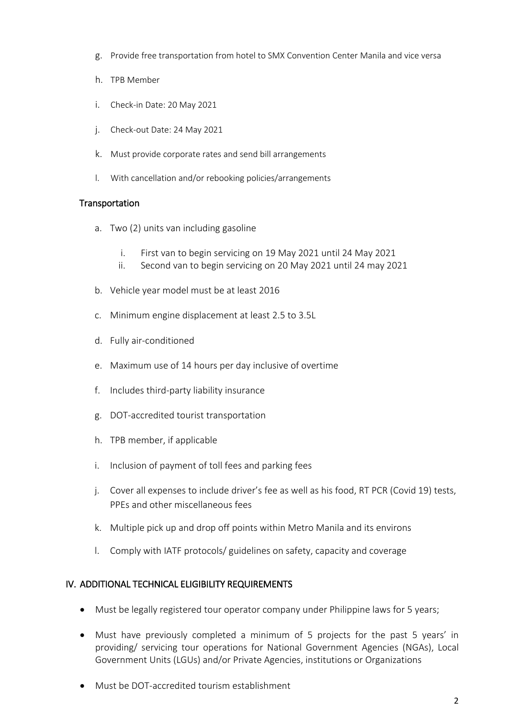- g. Provide free transportation from hotel to SMX Convention Center Manila and vice versa
- h. TPB Member
- i. Check-in Date: 20 May 2021
- j. Check-out Date: 24 May 2021
- k. Must provide corporate rates and send bill arrangements
- l. With cancellation and/or rebooking policies/arrangements

## **Transportation**

- a. Two (2) units van including gasoline
	- i. First van to begin servicing on 19 May 2021 until 24 May 2021
	- ii. Second van to begin servicing on 20 May 2021 until 24 may 2021
- b. Vehicle year model must be at least 2016
- c. Minimum engine displacement at least 2.5 to 3.5L
- d. Fully air-conditioned
- e. Maximum use of 14 hours per day inclusive of overtime
- f. Includes third-party liability insurance
- g. DOT-accredited tourist transportation
- h. TPB member, if applicable
- i. Inclusion of payment of toll fees and parking fees
- j. Cover all expenses to include driver's fee as well as his food, RT PCR (Covid 19) tests, PPEs and other miscellaneous fees
- k. Multiple pick up and drop off points within Metro Manila and its environs
- l. Comply with IATF protocols/ guidelines on safety, capacity and coverage

## IV. ADDITIONAL TECHNICAL ELIGIBILITY REQUIREMENTS

- Must be legally registered tour operator company under Philippine laws for 5 years;
- Must have previously completed a minimum of 5 projects for the past 5 years' in providing/ servicing tour operations for National Government Agencies (NGAs), Local Government Units (LGUs) and/or Private Agencies, institutions or Organizations
- Must be DOT-accredited tourism establishment